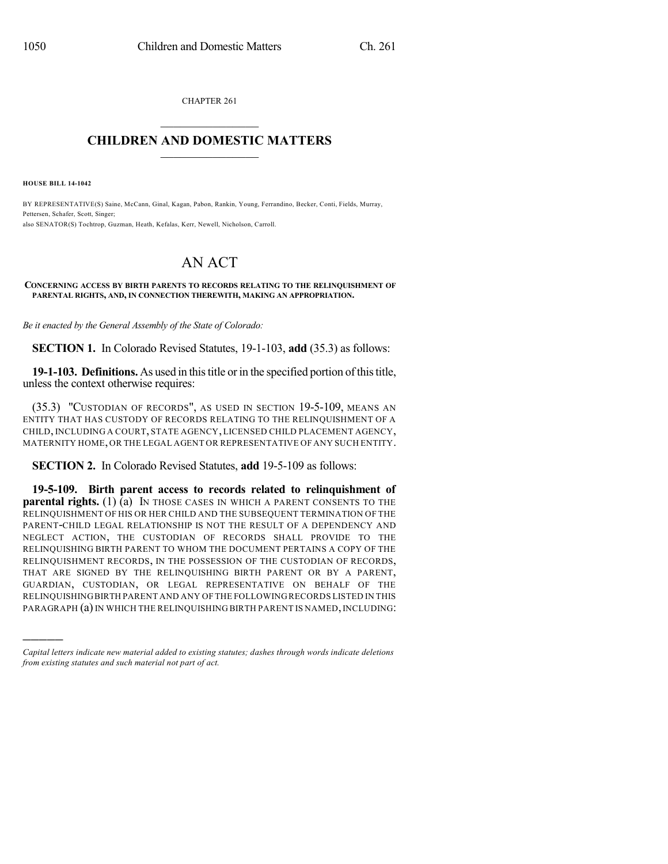CHAPTER 261  $\overline{\phantom{a}}$  . The set of the set of the set of the set of the set of the set of the set of the set of the set of the set of the set of the set of the set of the set of the set of the set of the set of the set of the set o

## **CHILDREN AND DOMESTIC MATTERS**  $\_$

**HOUSE BILL 14-1042**

)))))

BY REPRESENTATIVE(S) Saine, McCann, Ginal, Kagan, Pabon, Rankin, Young, Ferrandino, Becker, Conti, Fields, Murray, Pettersen, Schafer, Scott, Singer; also SENATOR(S) Tochtrop, Guzman, Heath, Kefalas, Kerr, Newell, Nicholson, Carroll.

## AN ACT

## **CONCERNING ACCESS BY BIRTH PARENTS TO RECORDS RELATING TO THE RELINQUISHMENT OF PARENTAL RIGHTS, AND, IN CONNECTION THEREWITH, MAKING AN APPROPRIATION.**

*Be it enacted by the General Assembly of the State of Colorado:*

**SECTION 1.** In Colorado Revised Statutes, 19-1-103, **add** (35.3) as follows:

**19-1-103. Definitions.** As used in this title or in the specified portion of this title, unless the context otherwise requires:

(35.3) "CUSTODIAN OF RECORDS", AS USED IN SECTION 19-5-109, MEANS AN ENTITY THAT HAS CUSTODY OF RECORDS RELATING TO THE RELINQUISHMENT OF A CHILD, INCLUDING A COURT, STATE AGENCY, LICENSED CHILD PLACEMENT AGENCY, MATERNITY HOME, OR THE LEGAL AGENT OR REPRESENTATIVE OF ANY SUCH ENTITY.

**SECTION 2.** In Colorado Revised Statutes, **add** 19-5-109 as follows:

**19-5-109. Birth parent access to records related to relinquishment of parental rights.** (1) (a) IN THOSE CASES IN WHICH A PARENT CONSENTS TO THE RELINQUISHMENT OF HIS OR HER CHILD AND THE SUBSEQUENT TERMINATION OF THE PARENT-CHILD LEGAL RELATIONSHIP IS NOT THE RESULT OF A DEPENDENCY AND NEGLECT ACTION, THE CUSTODIAN OF RECORDS SHALL PROVIDE TO THE RELINQUISHING BIRTH PARENT TO WHOM THE DOCUMENT PERTAINS A COPY OF THE RELINQUISHMENT RECORDS, IN THE POSSESSION OF THE CUSTODIAN OF RECORDS, THAT ARE SIGNED BY THE RELINQUISHING BIRTH PARENT OR BY A PARENT, GUARDIAN, CUSTODIAN, OR LEGAL REPRESENTATIVE ON BEHALF OF THE RELINQUISHINGBIRTH PARENT AND ANY OF THE FOLLOWING RECORDS LISTED IN THIS PARAGRAPH (a) IN WHICH THE RELINQUISHING BIRTH PARENT IS NAMED, INCLUDING:

*Capital letters indicate new material added to existing statutes; dashes through words indicate deletions from existing statutes and such material not part of act.*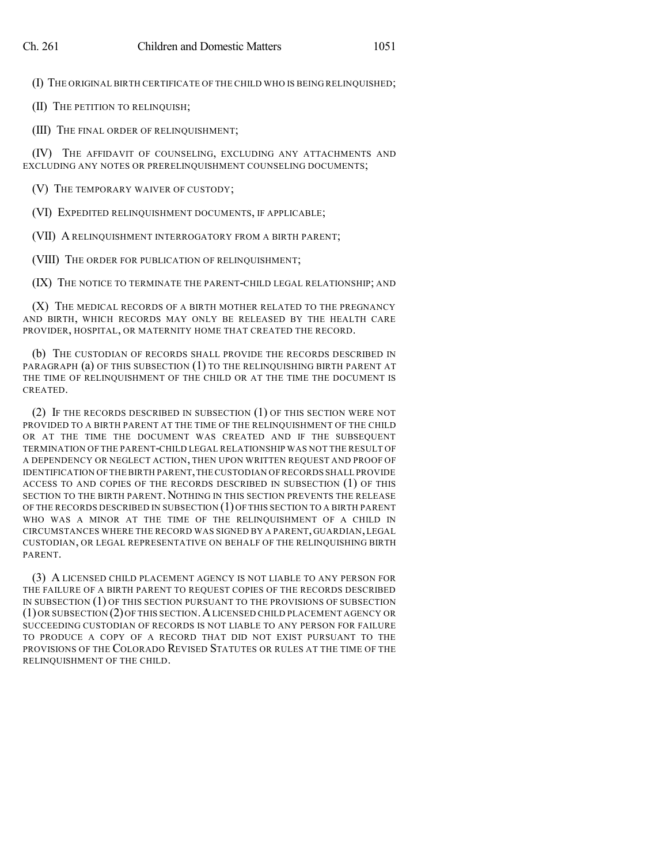(I) THE ORIGINAL BIRTH CERTIFICATE OF THE CHILD WHO IS BEING RELINQUISHED;

(II) THE PETITION TO RELINQUISH;

(III) THE FINAL ORDER OF RELINQUISHMENT;

(IV) THE AFFIDAVIT OF COUNSELING, EXCLUDING ANY ATTACHMENTS AND EXCLUDING ANY NOTES OR PRERELINQUISHMENT COUNSELING DOCUMENTS;

(V) THE TEMPORARY WAIVER OF CUSTODY;

(VI) EXPEDITED RELINQUISHMENT DOCUMENTS, IF APPLICABLE;

(VII) A RELINQUISHMENT INTERROGATORY FROM A BIRTH PARENT;

(VIII) THE ORDER FOR PUBLICATION OF RELINQUISHMENT;

(IX) THE NOTICE TO TERMINATE THE PARENT-CHILD LEGAL RELATIONSHIP; AND

(X) THE MEDICAL RECORDS OF A BIRTH MOTHER RELATED TO THE PREGNANCY AND BIRTH, WHICH RECORDS MAY ONLY BE RELEASED BY THE HEALTH CARE PROVIDER, HOSPITAL, OR MATERNITY HOME THAT CREATED THE RECORD.

(b) THE CUSTODIAN OF RECORDS SHALL PROVIDE THE RECORDS DESCRIBED IN PARAGRAPH (a) OF THIS SUBSECTION (1) TO THE RELINQUISHING BIRTH PARENT AT THE TIME OF RELINQUISHMENT OF THE CHILD OR AT THE TIME THE DOCUMENT IS CREATED.

(2) IF THE RECORDS DESCRIBED IN SUBSECTION (1) OF THIS SECTION WERE NOT PROVIDED TO A BIRTH PARENT AT THE TIME OF THE RELINQUISHMENT OF THE CHILD OR AT THE TIME THE DOCUMENT WAS CREATED AND IF THE SUBSEQUENT TERMINATION OF THE PARENT-CHILD LEGAL RELATIONSHIP WAS NOT THE RESULT OF A DEPENDENCY OR NEGLECT ACTION, THEN UPON WRITTEN REQUEST AND PROOF OF IDENTIFICATION OFTHE BIRTH PARENT,THECUSTODIAN OF RECORDS SHALL PROVIDE ACCESS TO AND COPIES OF THE RECORDS DESCRIBED IN SUBSECTION (1) OF THIS SECTION TO THE BIRTH PARENT. NOTHING IN THIS SECTION PREVENTS THE RELEASE OF THE RECORDS DESCRIBED IN SUBSECTION (1)OF THIS SECTION TO A BIRTH PARENT WHO WAS A MINOR AT THE TIME OF THE RELINQUISHMENT OF A CHILD IN CIRCUMSTANCES WHERE THE RECORD WAS SIGNED BY A PARENT, GUARDIAN, LEGAL CUSTODIAN, OR LEGAL REPRESENTATIVE ON BEHALF OF THE RELINQUISHING BIRTH PARENT.

(3) A LICENSED CHILD PLACEMENT AGENCY IS NOT LIABLE TO ANY PERSON FOR THE FAILURE OF A BIRTH PARENT TO REQUEST COPIES OF THE RECORDS DESCRIBED IN SUBSECTION (1) OF THIS SECTION PURSUANT TO THE PROVISIONS OF SUBSECTION (1) OR SUBSECTION (2)OF THIS SECTION.ALICENSED CHILD PLACEMENT AGENCY OR SUCCEEDING CUSTODIAN OF RECORDS IS NOT LIABLE TO ANY PERSON FOR FAILURE TO PRODUCE A COPY OF A RECORD THAT DID NOT EXIST PURSUANT TO THE PROVISIONS OF THE COLORADO REVISED STATUTES OR RULES AT THE TIME OF THE RELINQUISHMENT OF THE CHILD.